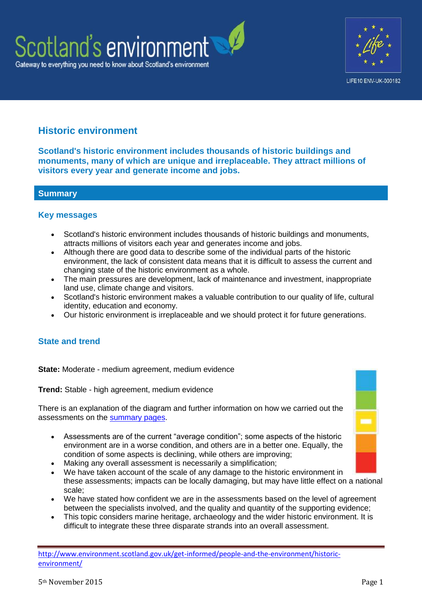



# **Historic environment**

**Scotland's historic environment includes thousands of historic buildings and monuments, many of which are unique and irreplaceable. They attract millions of visitors every year and generate income and jobs.**

# **Summary**

### **Key messages**

- Scotland's historic environment includes thousands of historic buildings and monuments, attracts millions of visitors each year and generates income and jobs.
- Although there are good data to describe some of the individual parts of the historic environment, the lack of consistent data means that it is difficult to assess the current and changing state of the historic environment as a whole.
- The main pressures are development, lack of maintenance and investment, inappropriate land use, climate change and visitors.
- Scotland's historic environment makes a valuable contribution to our quality of life, cultural identity, education and economy.
- Our historic environment is irreplaceable and we should protect it for future generations.

# **State and trend**

**State:** Moderate - medium agreement, medium evidence

**Trend:** Stable - high agreement, medium evidence

There is an explanation of the diagram and further information on how we carried out the assessments on the [summary pages.](http://www.environment.scotland.gov.uk/get-informed/state-of-the-environment-summary/state-and-trend-assessments/)

- Assessments are of the current "average condition"; some aspects of the historic environment are in a worse condition, and others are in a better one. Equally, the condition of some aspects is declining, while others are improving;
- Making any overall assessment is necessarily a simplification;
- We have taken account of the scale of any damage to the historic environment in these assessments; impacts can be locally damaging, but may have little effect on a national scale;
- We have stated how confident we are in the assessments based on the level of agreement between the specialists involved, and the quality and quantity of the supporting evidence;
- This topic considers marine heritage, archaeology and the wider historic environment. It is difficult to integrate these three disparate strands into an overall assessment.

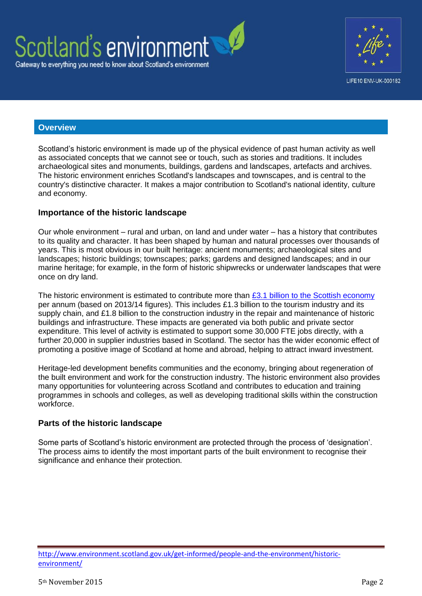

## **Overview**

Scotland's historic environment is made up of the physical evidence of past human activity as well as associated concepts that we cannot see or touch, such as stories and traditions. It includes archaeological sites and monuments, buildings, gardens and landscapes, artefacts and archives. The historic environment enriches Scotland's landscapes and townscapes, and is central to the country's distinctive character. It makes a major contribution to Scotland's national identity, culture and economy.

### **Importance of the historic landscape**

Our whole environment – rural and urban, on land and under water – has a history that contributes to its quality and character. It has been shaped by human and natural processes over thousands of years. This is most obvious in our built heritage: ancient monuments; archaeological sites and landscapes; historic buildings; townscapes; parks; gardens and designed landscapes; and in our marine heritage; for example, in the form of historic shipwrecks or underwater landscapes that were once on dry land.

The historic environment is estimated to contribute more than  $£3.1$  billion to the Scottish economy per annum (based on 2013/14 figures). This includes £1.3 billion to the tourism industry and its supply chain, and £1.8 billion to the construction industry in the repair and maintenance of historic buildings and infrastructure. These impacts are generated via both public and private sector expenditure. This level of activity is estimated to support some 30,000 FTE jobs directly, with a further 20,000 in supplier industries based in Scotland. The sector has the wider economic effect of promoting a positive image of Scotland at home and abroad, helping to attract inward investment.

Heritage-led development benefits communities and the economy, bringing about regeneration of the built environment and work for the construction industry. The historic environment also provides many opportunities for volunteering across Scotland and contributes to education and training programmes in schools and colleges, as well as developing traditional skills within the construction workforce.

#### **Parts of the historic landscape**

Some parts of Scotland's historic environment are protected through the process of 'designation'. The process aims to identify the most important parts of the built environment to recognise their significance and enhance their protection.

http://www.environment.scotland.gov.uk/get-informed/people-and-the-environment/historicenvironment/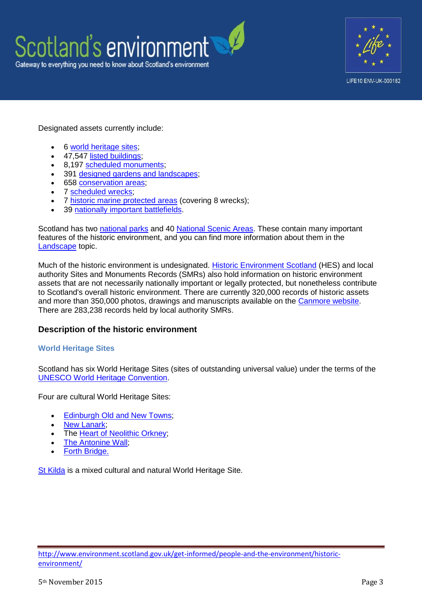



Designated assets currently include:

- 6 [world heritage sites;](http://www.historic-scotland.gov.uk/index/heritage/worldheritage/world-heritage-sites-in-scotland.htm)
- 47,547 [listed buildings;](http://www.historic-scotland.gov.uk/index/heritage/historicandlistedbuildings.htm)
- 8,197 [scheduled monuments;](http://www.historic-scotland.gov.uk/index/heritage/searchmonuments.htm)
- 391 [designed gardens and landscapes;](http://www.historic-scotland.gov.uk/index/heritage/gardens.htm)
- 658 [conservation areas;](http://www.scotland.gov.uk/resource/Doc/37428/0009675.pdf)
- 7 [scheduled wrecks;](http://www.historic-scotland.gov.uk/index/heritage/wrecksites/scotlands-historic-wrecks.htm)
- 7 [historic marine protected areas](http://www.historic-scotland.gov.uk/index/heritage/wrecksites/scotlands-historic-wrecks.htm) (covering 8 wrecks);
- 39 [nationally important battlefields.](http://www.historic-scotland.gov.uk/index/heritage/battlefields.htm)

Scotland has two [national parks](http://www.nationalparks.gov.uk/) and 40 [National Scenic Areas.](http://www.scotland.gov.uk/resource/Doc/1051/0058088.pdf) These contain many important features of the historic environment, and you can find more information about them in the [Landscape](http://www.environment.scotland.gov.uk/get-informed/land/landscape/) topic.

Much of the historic environment is undesignated. [Historic Environment Scotland](http://www.rcahms.gov.uk/) (HES) and local authority Sites and Monuments Records (SMRs) also hold information on historic environment assets that are not necessarily nationally important or legally protected, but nonetheless contribute to Scotland's overall historic environment. There are currently 320,000 records of historic assets and more than 350,000 photos, drawings and manuscripts available on the [Canmore website.](http://canmore.org.uk/) There are 283,238 records held by local authority SMRs.

#### **Description of the historic environment**

#### **World Heritage Sites**

Scotland has six World Heritage Sites (sites of outstanding universal value) under the terms of the [UNESCO World Heritage Convention.](http://whc.unesco.org/en/conventiontext)

Four are cultural World Heritage Sites:

- [Edinburgh Old and New Towns;](http://www.historic-scotland.gov.uk/index/heritage/worldheritage/world-heritage-sites-in-scotland/old-and-new-towns-of-edinburgh.htm)
- [New Lanark;](http://www.historic-scotland.gov.uk/index/heritage/worldheritage/world-heritage-sites-in-scotland/new-lanark.htm)
- The [Heart of Neolithic Orkney;](http://www.historic-scotland.gov.uk/index/heritage/worldheritage/world-heritage-sites-in-scotland/neolithic-orkney.htm)
- [The Antonine Wall;](http://www.historic-scotland.gov.uk/index/heritage/worldheritage/world-heritage-sites-in-scotland/antoninewall.htm)
- [Forth Bridge.](http://www.historic-scotland.gov.uk/index/heritage/worldheritage/world-heritage-sites-in-scotland/forth-bridge.htm)

[St Kilda](http://www.historic-scotland.gov.uk/index/heritage/worldheritage/world-heritage-sites-in-scotland/st-kilda.htm) is a mixed cultural and natural World Heritage Site.

http://www.environment.scotland.gov.uk/get-informed/people-and-the-environment/historicenvironment/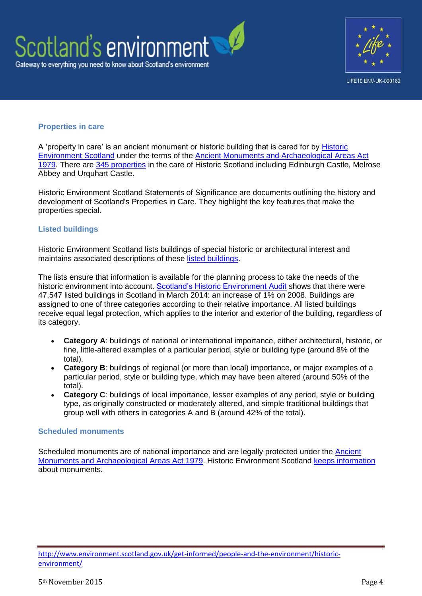



#### **Properties in care**

A 'property in care' is an ancient monument or historic building that is cared for by [Historic](http://www.rcahms.gov.uk/)  [Environment Scotland](http://www.rcahms.gov.uk/) under the terms of the [Ancient Monuments and Archaeological Areas Act](http://www.legislation.gov.uk/ukpga/1979/46)  [1979.](http://www.legislation.gov.uk/ukpga/1979/46) There are [345 properties](http://www.historic-scotland.gov.uk/index/places/managedproperties.htm) in the care of Historic Scotland including Edinburgh Castle, Melrose Abbey and Urquhart Castle.

Historic Environment Scotland Statements of Significance are documents outlining the history and development of Scotland's Properties in Care. They highlight the key features that make the properties special.

#### **Listed buildings**

Historic Environment Scotland lists buildings of special historic or architectural interest and maintains associated descriptions of these [listed buildings.](http://www.historic-scotland.gov.uk/historicandlistedbuildings)

The lists ensure that information is available for the planning process to take the needs of the historic environment into account. [Scotland's Historic Environment Audit](http://www.historic-scotland.gov.uk/heritageaudit) shows that there were 47,547 listed buildings in Scotland in March 2014: an increase of 1% on 2008. Buildings are assigned to one of three categories according to their relative importance. All listed buildings receive equal legal protection, which applies to the interior and exterior of the building, regardless of its category.

- **Category A**: buildings of national or international importance, either architectural, historic, or fine, little-altered examples of a particular period, style or building type (around 8% of the total).
- **Category B**: buildings of regional (or more than local) importance, or major examples of a particular period, style or building type, which may have been altered (around 50% of the total).
- **Category C**: buildings of local importance, lesser examples of any period, style or building type, as originally constructed or moderately altered, and simple traditional buildings that group well with others in categories A and B (around 42% of the total).

#### **Scheduled monuments**

Scheduled monuments are of national importance and are legally protected under the [Ancient](http://www.legislation.gov.uk/ukpga/1979/46)  [Monuments and Archaeological Areas Act 1979.](http://www.legislation.gov.uk/ukpga/1979/46) Historic Environment Scotland [keeps information](http://data.historic-scotland.gov.uk/pls/htmldb/f?p=2000:10:0) about monuments.

http://www.environment.scotland.gov.uk/get-informed/people-and-the-environment/historicenvironment/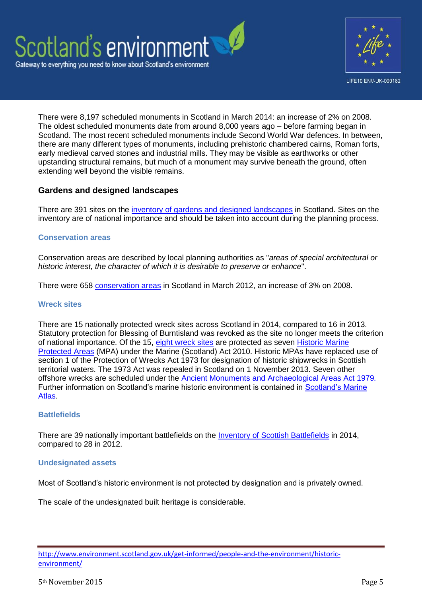



There were 8,197 scheduled monuments in Scotland in March 2014: an increase of 2% on 2008. The oldest scheduled monuments date from around 8,000 years ago – before farming began in Scotland. The most recent scheduled monuments include Second World War defences. In between, there are many different types of monuments, including prehistoric chambered cairns, Roman forts, early medieval carved stones and industrial mills. They may be visible as earthworks or other upstanding structural remains, but much of a monument may survive beneath the ground, often extending well beyond the visible remains.

# **Gardens and designed landscapes**

There are 391 sites on the inventory of gardens [and designed landscapes](http://www.historic-scotland.gov.uk/index/heritage/gardens.htm) in Scotland. Sites on the inventory are of national importance and should be taken into account during the planning process.

#### **Conservation areas**

Conservation areas are described by local planning authorities as "*areas of special architectural or historic interest, the character of which it is desirable to preserve or enhance*".

There were 658 [conservation areas](http://www.scotland.gov.uk/Publications/2005/03/29141519/15200) in Scotland in March 2012, an increase of 3% on 2008.

#### **Wreck sites**

There are 15 nationally protected wreck sites across Scotland in 2014, compared to 16 in 2013. Statutory protection for Blessing of Burntisland was revoked as the site no longer meets the criterion of national importance. Of the 15, [eight wreck sites](http://www.historic-scotland.gov.uk/index/heritage/wrecksites.htm) are protected as seven [Historic Marine](http://www.historic-scotland.gov.uk/index/heritage/wrecksites.htm)  [Protected Areas](http://www.historic-scotland.gov.uk/index/heritage/wrecksites.htm) (MPA) under the Marine (Scotland) Act 2010. Historic MPAs have replaced use of section 1 of the Protection of Wrecks Act 1973 for designation of historic shipwrecks in Scottish territorial waters. The 1973 Act was repealed in Scotland on 1 November 2013. Seven other offshore wrecks are scheduled under the [Ancient Monuments and Archaeological Areas Act 1979](http://www.legislation.gov.uk/ukpga/1979/46)*.* Further information on Scotland's marine historic environment is contained in [Scotland's Marine](http://www.scotland.gov.uk/Publications/2011/03/16182005/0)  [Atlas.](http://www.scotland.gov.uk/Publications/2011/03/16182005/0)

#### **Battlefields**

There are 39 nationally important battlefields on the [Inventory of Scottish Battlefields](http://www.historic-scotland.gov.uk/index/heritage/battlefields/battlefieldinventory.htm) in 2014, compared to 28 in 2012.

#### **Undesignated assets**

Most of Scotland's historic environment is not protected by designation and is privately owned.

The scale of the undesignated built heritage is considerable.

http://www.environment.scotland.gov.uk/get-informed/people-and-the-environment/historicenvironment/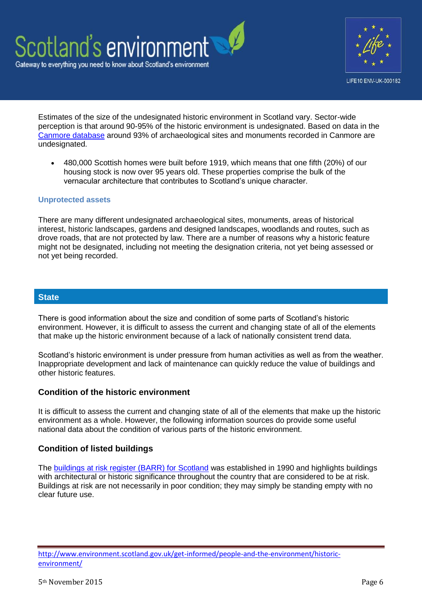



Estimates of the size of the undesignated historic environment in Scotland vary. Sector-wide perception is that around 90-95% of the historic environment is undesignated. Based on data in the [Canmore database](http://canmore.org.uk/) around 93% of archaeological sites and monuments recorded in Canmore are undesignated.

 480,000 Scottish homes were built before 1919, which means that one fifth (20%) of our housing stock is now over 95 years old. These properties comprise the bulk of the vernacular architecture that contributes to Scotland's unique character.

#### **Unprotected assets**

There are many different undesignated archaeological sites, monuments, areas of historical interest, historic landscapes, gardens and designed landscapes, woodlands and routes, such as drove roads, that are not protected by law. There are a number of reasons why a historic feature might not be designated, including not meeting the designation criteria, not yet being assessed or not yet being recorded.

#### **State**

There is good information about the size and condition of some parts of Scotland's historic environment. However, it is difficult to assess the current and changing state of all of the elements that make up the historic environment because of a lack of nationally consistent trend data.

Scotland's historic environment is under pressure from human activities as well as from the weather. Inappropriate development and lack of maintenance can quickly reduce the value of buildings and other historic features.

#### **Condition of the historic environment**

It is difficult to assess the current and changing state of all of the elements that make up the historic environment as a whole. However, the following information sources do provide some useful national data about the condition of various parts of the historic environment.

# **Condition of listed buildings**

The **buildings at risk register (BARR) for Scotland** was established in 1990 and highlights buildings with architectural or historic significance throughout the country that are considered to be at risk. Buildings at risk are not necessarily in poor condition; they may simply be standing empty with no clear future use.

http://www.environment.scotland.gov.uk/get-informed/people-and-the-environment/historicenvironment/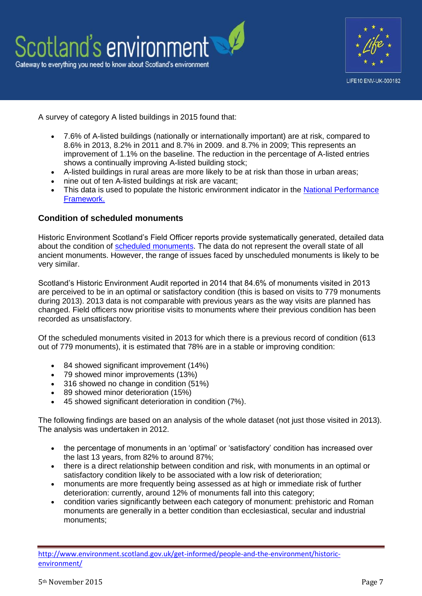



A survey of category A listed buildings in 2015 found that:

- 7.6% of A-listed buildings (nationally or internationally important) are at risk, compared to 8.6% in 2013, 8.2% in 2011 and 8.7% in 2009. and 8.7% in 2009; This represents an improvement of 1.1% on the baseline. The reduction in the percentage of A-listed entries shows a continually improving A-listed building stock;
- A-listed buildings in rural areas are more likely to be at risk than those in urban areas;
- nine out of ten A-listed buildings at risk are vacant;
- This data is used to populate the historic environment indicator in the National Performance [Framework.](http://www.gov.scot/About/Performance/scotPerforms/indicator/historic)

# **Condition of scheduled monuments**

Historic Environment Scotland's Field Officer reports provide systematically generated, detailed data about the condition of [scheduled monuments.](http://www.historic-scotland.gov.uk/searchmonuments) The data do not represent the overall state of all ancient monuments. However, the range of issues faced by unscheduled monuments is likely to be very similar.

Scotland's Historic Environment Audit reported in 2014 that 84.6% of monuments visited in 2013 are perceived to be in an optimal or satisfactory condition (this is based on visits to 779 monuments during 2013). 2013 data is not comparable with previous years as the way visits are planned has changed. Field officers now prioritise visits to monuments where their previous condition has been recorded as unsatisfactory.

Of the scheduled monuments visited in 2013 for which there is a previous record of condition (613 out of 779 monuments), it is estimated that 78% are in a stable or improving condition:

- 84 showed significant improvement (14%)
- 79 showed minor improvements (13%)
- 316 showed no change in condition (51%)
- 89 showed minor deterioration (15%)
- 45 showed significant deterioration in condition (7%).

The following findings are based on an analysis of the whole dataset (not just those visited in 2013). The analysis was undertaken in 2012.

- the percentage of monuments in an 'optimal' or 'satisfactory' condition has increased over the last 13 years, from 82% to around 87%;
- there is a direct relationship between condition and risk, with monuments in an optimal or satisfactory condition likely to be associated with a low risk of deterioration;
- monuments are more frequently being assessed as at high or immediate risk of further deterioration: currently, around 12% of monuments fall into this category;
- condition varies significantly between each category of monument: prehistoric and Roman monuments are generally in a better condition than ecclesiastical, secular and industrial monuments;

http://www.environment.scotland.gov.uk/get-informed/people-and-the-environment/historicenvironment/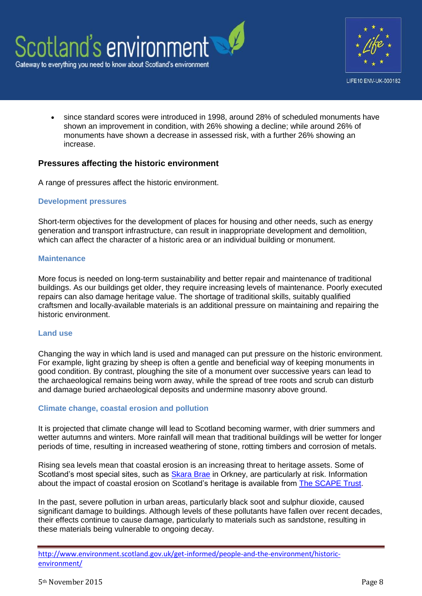



 since standard scores were introduced in 1998, around 28% of scheduled monuments have shown an improvement in condition, with 26% showing a decline; while around 26% of monuments have shown a decrease in assessed risk, with a further 26% showing an increase.

### **Pressures affecting the historic environment**

A range of pressures affect the historic environment.

#### **Development pressures**

Short-term objectives for the development of places for housing and other needs, such as energy generation and transport infrastructure, can result in inappropriate development and demolition, which can affect the character of a historic area or an individual building or monument.

#### **Maintenance**

More focus is needed on long-term sustainability and better repair and maintenance of traditional buildings. As our buildings get older, they require increasing levels of maintenance. Poorly executed repairs can also damage heritage value. The shortage of traditional skills, suitably qualified craftsmen and locally-available materials is an additional pressure on maintaining and repairing the historic environment.

#### **Land use**

Changing the way in which land is used and managed can put pressure on the historic environment. For example, light grazing by sheep is often a gentle and beneficial way of keeping monuments in good condition. By contrast, ploughing the site of a monument over successive years can lead to the archaeological remains being worn away, while the spread of tree roots and scrub can disturb and damage buried archaeological deposits and undermine masonry above ground.

#### **Climate change, coastal erosion and pollution**

It is projected that climate change will lead to Scotland becoming warmer, with drier summers and wetter autumns and winters. More rainfall will mean that traditional buildings will be wetter for longer periods of time, resulting in increased weathering of stone, rotting timbers and corrosion of metals.

Rising sea levels mean that coastal erosion is an increasing threat to heritage assets. Some of Scotland's most special sites, such as [Skara Brae](http://www.historic-scotland.gov.uk/propertyresults/propertyoverview.htm?PropID=PL_244&PropName=Skara%20Brae%20Prehistoric%20Village) in Orkney, are particularly at risk. Information about the impact of coastal erosion on Scotland's heritage is available from **The SCAPE Trust.** 

In the past, severe pollution in urban areas, particularly black soot and sulphur dioxide, caused significant damage to buildings. Although levels of these pollutants have fallen over recent decades, their effects continue to cause damage, particularly to materials such as sandstone, resulting in these materials being vulnerable to ongoing decay.

http://www.environment.scotland.gov.uk/get-informed/people-and-the-environment/historicenvironment/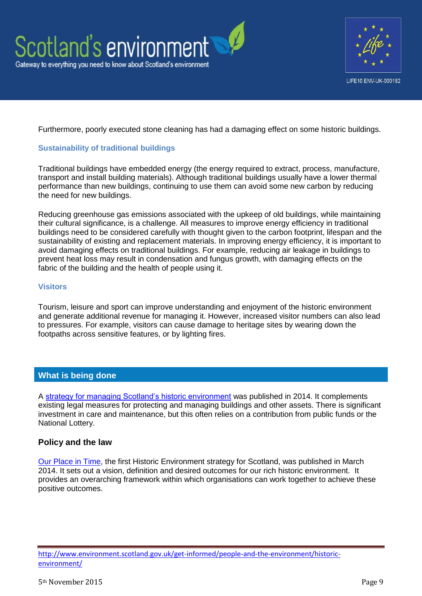



Furthermore, poorly executed stone cleaning has had a damaging effect on some historic buildings.

#### **Sustainability of traditional buildings**

Traditional buildings have embedded energy (the energy required to extract, process, manufacture, transport and install building materials). Although traditional buildings usually have a lower thermal performance than new buildings, continuing to use them can avoid some new carbon by reducing the need for new buildings.

Reducing greenhouse gas emissions associated with the upkeep of old buildings, while maintaining their cultural significance, is a challenge. All measures to improve energy efficiency in traditional buildings need to be considered carefully with thought given to the carbon footprint, lifespan and the sustainability of existing and replacement materials. In improving energy efficiency, it is important to avoid damaging effects on traditional buildings. For example, reducing air leakage in buildings to prevent heat loss may result in condensation and fungus growth, with damaging effects on the fabric of the building and the health of people using it.

#### **Visitors**

Tourism, leisure and sport can improve understanding and enjoyment of the historic environment and generate additional revenue for managing it. However, increased visitor numbers can also lead to pressures. For example, visitors can cause damage to heritage sites by wearing down the footpaths across sensitive features, or by lighting fires.

# **What is being done**

A [strategy for managing Scotland's historic environment](http://www.scotland.gov.uk/Publications/2014/03/8522) was published in 2014. It complements existing legal measures for protecting and managing buildings and other assets. There is significant investment in care and maintenance, but this often relies on a contribution from public funds or the National Lottery.

# **Policy and the law**

[Our Place in Time,](http://www.scotland.gov.uk/Publications/2014/03/8522) the first Historic Environment strategy for Scotland, was published in March 2014. It sets out a vision, definition and desired outcomes for our rich historic environment. It provides an overarching framework within which organisations can work together to achieve these positive outcomes.

http://www.environment.scotland.gov.uk/get-informed/people-and-the-environment/historicenvironment/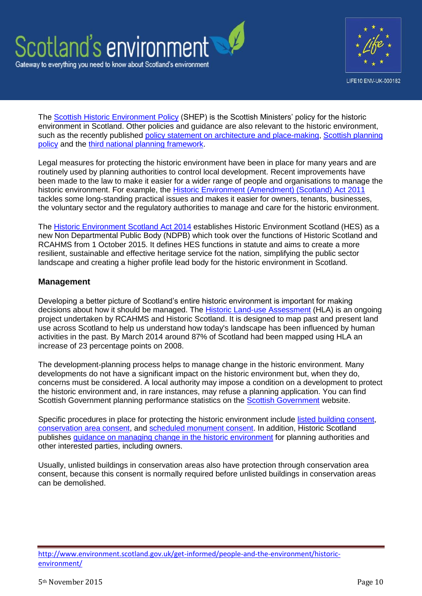



The [Scottish Historic Environment Policy](http://www.historic-scotland.gov.uk/index/heritage/policy/shep.htm) (SHEP) is the Scottish Ministers' policy for the historic environment in Scotland. Other policies and guidance are also relevant to the historic environment, such as the recently published policy statement on architecture and place-making. Scottish planning [policy](http://www.scotland.gov.uk/Topics/Built-Environment/planning/Policy) and the [third national planning framework.](http://www.scotland.gov.uk/Topics/Built-Environment/planning/National-Planning-Framework)

Legal measures for protecting the historic environment have been in place for many years and are routinely used by planning authorities to control local development. Recent improvements have been made to the law to make it easier for a wider range of people and organisations to manage the historic environment. For example, the [Historic Environment \(Amendment\) \(Scotland\)](http://www.legislation.gov.uk/asp/2011/3/contents/enacted) Act 2011 tackles some long-standing practical issues and makes it easier for owners, tenants, businesses, the voluntary sector and the regulatory authorities to manage and care for the historic environment.

The [Historic Environment Scotland Act 2014](http://www.legislation.gov.uk/asp/2014/19/pdfs/asp_20140019_en.pdf) establishes Historic Environment Scotland (HES) as a new Non Departmental Public Body (NDPB) which took over the functions of Historic Scotland and RCAHMS from 1 October 2015. It defines HES functions in statute and aims to create a more resilient, sustainable and effective heritage service fot the nation, simplifying the public sector landscape and creating a higher profile lead body for the historic environment in Scotland.

# **Management**

Developing a better picture of Scotland's entire historic environment is important for making decisions about how it should be managed. The [Historic Land-use Assessment](http://hla.rcahms.gov.uk/) (HLA) is an ongoing project undertaken by RCAHMS and Historic Scotland. It is designed to map past and present land use across Scotland to help us understand how today's landscape has been influenced by human activities in the past. By March 2014 around 87% of Scotland had been mapped using HLA an increase of 23 percentage points on 2008.

The development-planning process helps to manage change in the historic environment. Many developments do not have a significant impact on the historic environment but, when they do, concerns must be considered. A local authority may impose a condition on a development to protect the historic environment and, in rare instances, may refuse a planning application. You can find Scottish Government planning performance statistics on the **Scottish Government** website.

Specific procedures in place for protecting the historic environment include listed [building consent,](http://www.historic-scotland.gov.uk/index/heritage/historicandlistedbuildings/listed-building-consent.htm) [conservation area consent,](http://www.scotland.gov.uk/Topics/Built-Environment/planning/Appeals/whatwedo/planningandrelatedappeals/lbandconservationarea) and [scheduled monument consent.](http://www.historic-scotland.gov.uk/index/heritage/searchmonuments/scheduledmonumentconsentprocess.htm) In addition, Historic Scotland publishes [guidance on managing change in the historic environment](http://www.historic-scotland.gov.uk/index/heritage/policy/managingchange.htm) for planning authorities and other interested parties, including owners.

Usually, unlisted buildings in conservation areas also have protection through conservation area consent, because this consent is normally required before unlisted buildings in conservation areas can be demolished.

http://www.environment.scotland.gov.uk/get-informed/people-and-the-environment/historicenvironment/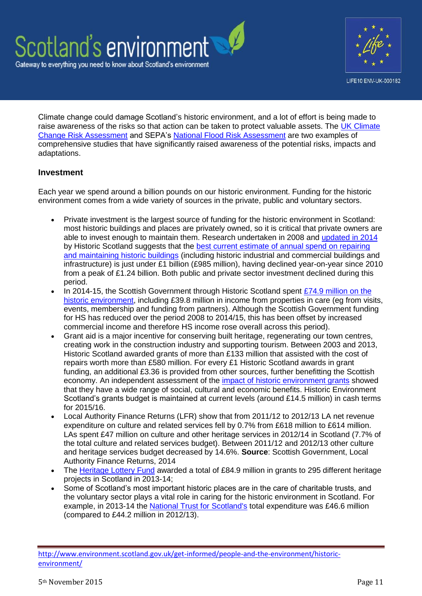



Climate change could damage Scotland's historic environment, and a lot of effort is being made to raise awareness of the risks so that action can be taken to protect valuable assets. The UK Climate [Change Risk Assessment](https://www.gov.uk/government/publications/uk-climate-change-risk-assessment-government-report) and SEPA's [National Flood Risk Assessment](http://www.sepa.org.uk/flooding/flood_risk_management/national_flood_risk_assessment.aspx) are two examples of comprehensive studies that have significantly raised awareness of the potential risks, impacts and adaptations.

# **Investment**

Each year we spend around a billion pounds on our historic environment. Funding for the historic environment comes from a wide variety of sources in the private, public and voluntary sectors.

- Private investment is the largest source of funding for the historic environment in Scotland: most historic buildings and places are privately owned, so it is critical that private owners are able to invest enough to maintain them. Research undertaken in 2008 and [updated in 2014](http://www.historic-scotland.gov.uk/reconomiimpact-ecorys2013.pdf) by Historic Scotland suggests that the [best current estimate of annual spend on repairing](http://www.historic-scotland.gov.uk/reconomiimpact-ecorys2013.pdf)  [and maintaining historic buildings](http://www.historic-scotland.gov.uk/reconomiimpact-ecorys2013.pdf) (including historic industrial and commercial buildings and infrastructure) is just under £1 billion (£985 million), having declined year-on-year since 2010 from a peak of £1.24 billion. Both public and private sector investment declined during this period.
- In 2014-15, the Scottish Government through Historic Scotland spent £74.9 million on the [historic environment,](http://www.historic-scotland.gov.uk/annual-report-14-15.pdf) including £39.8 million in income from properties in care (eg from visits, events, membership and funding from partners). Although the Scottish Government funding for HS has reduced over the period 2008 to 2014/15, this has been offset by increased commercial income and therefore HS income rose overall across this period).
- Grant aid is a major incentive for conserving built heritage, regenerating our town centres, creating work in the construction industry and supporting tourism. Between 2003 and 2013, Historic Scotland awarded grants of more than £133 million that assisted with the cost of repairs worth more than £580 million. For every £1 Historic Scotland awards in grant funding, an additional £3.36 is provided from other sources, further benefitting the Scottish economy. An independent assessment of the [impact of historic environment grants](http://www.historic-scotland.gov.uk/grantsimpact) showed that they have a wide range of social, cultural and economic benefits. Historic Environment Scotland's grants budget is maintained at current levels (around £14.5 million) in cash terms for 2015/16.
- Local Authority Finance Returns (LFR) show that from 2011/12 to 2012/13 LA net revenue expenditure on culture and related services fell by 0.7% from £618 million to £614 million. LAs spent £47 million on culture and other heritage services in 2012/14 in Scotland (7.7% of the total culture and related services budget). Between 2011/12 and 2012/13 other culture and heritage services budget decreased by 14.6%. **Source**: Scottish Government, Local Authority Finance Returns, 2014
- The [Heritage Lottery Fund](http://www.hlf.org.uk/Pages/Home.aspx) awarded a total of £84.9 million in grants to 295 different heritage projects in Scotland in 2013-14;
- Some of Scotland's most important historic places are in the care of charitable trusts, and the voluntary sector plays a vital role in caring for the historic environment in Scotland. For example, in 2013-14 the [National Trust for Scotland's](http://www.nts.org.uk/Home/) total expenditure was £46.6 million (compared to £44.2 million in 2012/13).

http://www.environment.scotland.gov.uk/get-informed/people-and-the-environment/historicenvironment/